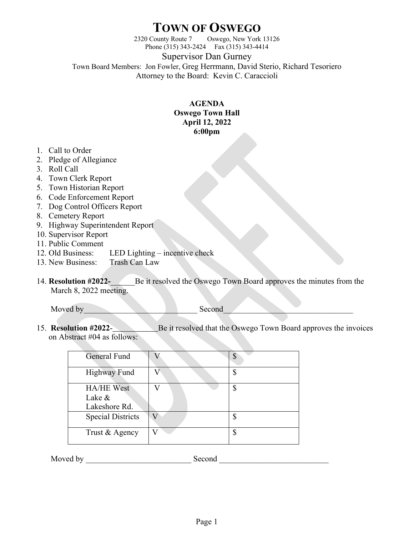## **TOWN OF OSWEGO**

2320 County Route 7 Oswego, New York 13126 Phone (315) 343-2424 Fax (315) 343-4414

Supervisor Dan Gurney

Town Board Members: Jon Fowler, Greg Herrmann, David Sterio, Richard Tesoriero Attorney to the Board: Kevin C. Caraccioli

## **AGENDA Oswego Town Hall April 12, 2022 6:00pm**

- 1. Call to Order
- 2. Pledge of Allegiance
- 3. Roll Call
- 4. Town Clerk Report
- 5. Town Historian Report
- 6. Code Enforcement Report
- 7. Dog Control Officers Report
- 8. Cemetery Report
- 9. Highway Superintendent Report
- 10. Supervisor Report
- 11. Public Comment
- 12. Old Business: LED Lighting incentive check
- 13. New Business: Trash Can Law
- 14. **Resolution #2022-**\_\_\_\_\_\_Be it resolved the Oswego Town Board approves the minutes from the March 8, 2022 meeting.

Moved by Second

15. **Resolution #2022**- Be it resolved that the Oswego Town Board approves the invoices on Abstract #04 as follows:

| <b>General Fund</b>                          |   |
|----------------------------------------------|---|
| <b>Highway Fund</b>                          |   |
| <b>HA/HE West</b><br>Lake &<br>Lakeshore Rd. | Φ |
| <b>Special Districts</b>                     |   |
| Trust & Agency                               |   |

Moved by \_\_\_\_\_\_\_\_\_\_\_\_\_\_\_\_\_\_\_\_\_\_\_\_\_\_ Second \_\_\_\_\_\_\_\_\_\_\_\_\_\_\_\_\_\_\_\_\_\_\_\_\_\_\_